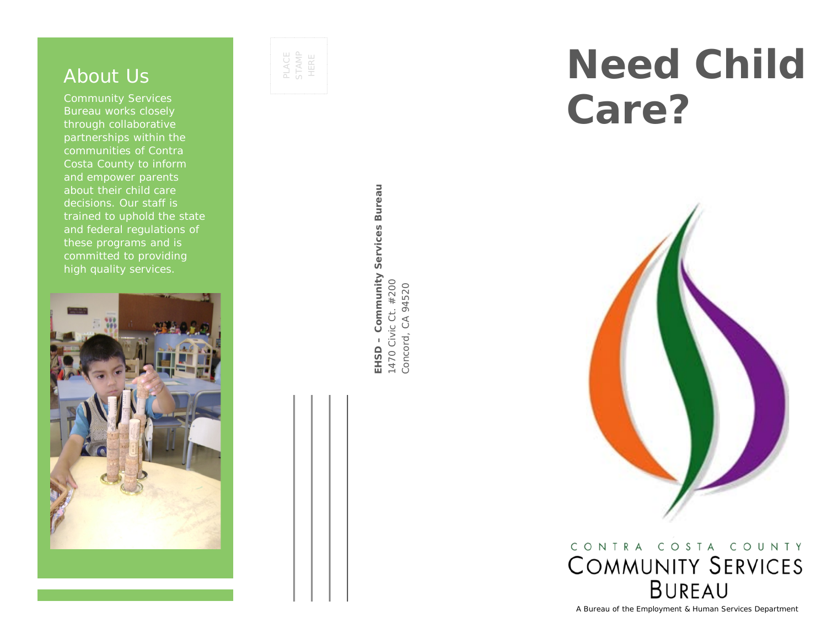## About Us

Community Services Bureau works closely through collaborative partnerships within the communities of Contra Costa County to inform and empower parents about their child care decisions. Our staff is trained to uphold the state and federal regulations of these programs and is committed to providing high quality services.



PLACE STAMP HERE

> EHSD - Community Services Bureau **EHSD – Community Services Bureau** 1470 Civic Ct. #200<br>Concord, CA 94520 1470 Civic Ct. #200 Concord, CA 94520

# **Need Child Care?**



CONTRA COSTA COUNTY **COMMUNITY SERVICES BUREAU** 

A Bureau of the Employment & Human Services Department